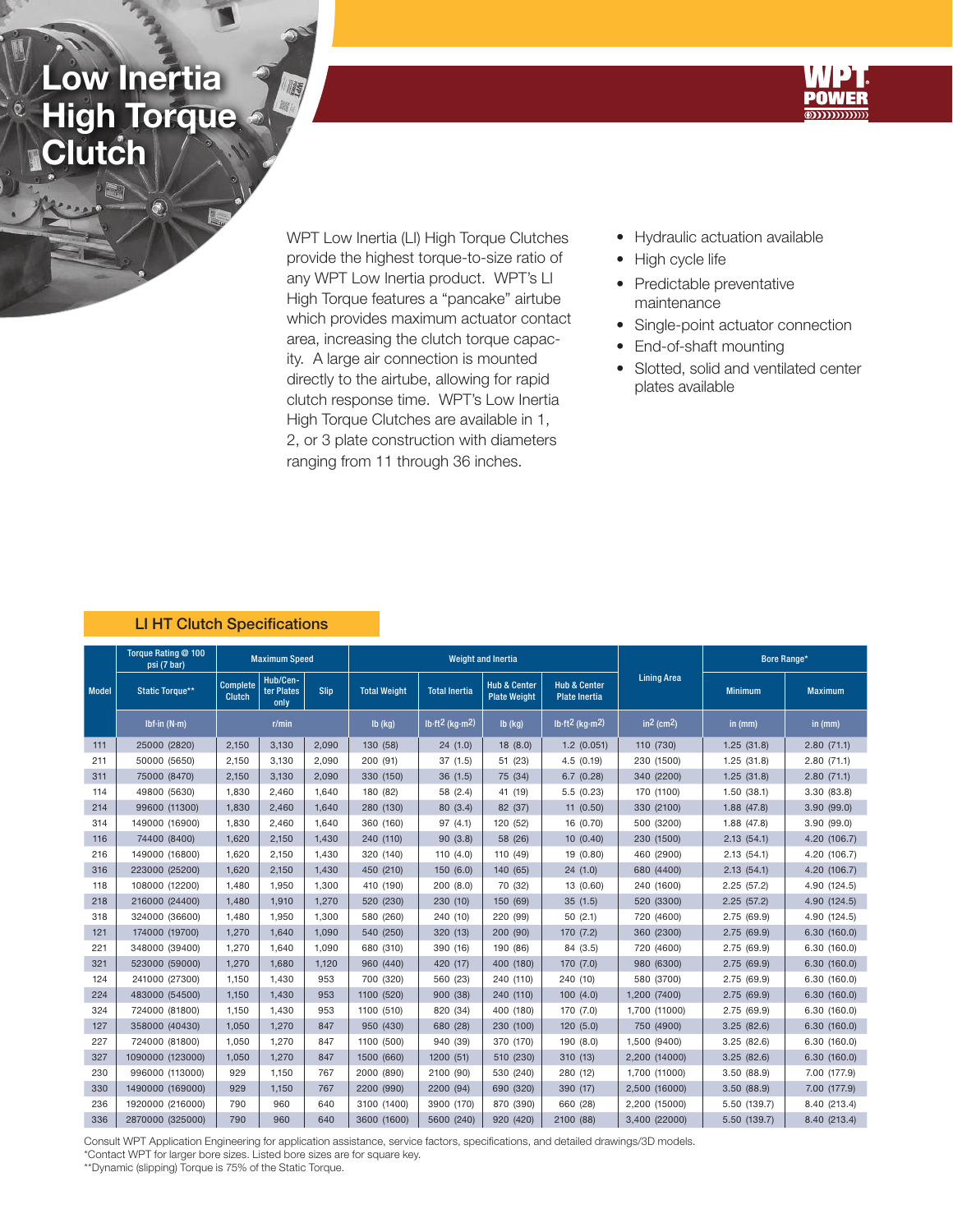## Low Inertia High Torque **Clutch**

0



WPT Low Inertia (LI) High Torque Clutches provide the highest torque-to-size ratio of any WPT Low Inertia product. WPT's LI High Torque features a "pancake" airtube which provides maximum actuator contact area, increasing the clutch torque capacity. A large air connection is mounted directly to the airtube, allowing for rapid clutch response time. WPT's Low Inertia High Torque Clutches are available in 1, 2, or 3 plate construction with diameters ranging from 11 through 36 inches.

- Hydraulic actuation available
- High cycle life
- Predictable preventative maintenance
- Single-point actuator connection
- End-of-shaft mounting
- Slotted, solid and ventilated center plates available

## LI HT Clutch Specifications

| <b>Model</b> | Torque Rating @ 100<br>psi (7 bar) |                                                                    | <b>Maximum Speed</b> |           |                      |                      | <b>Weight and Inertia</b>                      |                                                 |                    | Bore Range*    |                |
|--------------|------------------------------------|--------------------------------------------------------------------|----------------------|-----------|----------------------|----------------------|------------------------------------------------|-------------------------------------------------|--------------------|----------------|----------------|
|              | <b>Static Torque**</b>             | Hub/Cen-<br><b>Complete</b><br>ter Plates<br><b>Clutch</b><br>only |                      | Slip      | <b>Total Weight</b>  | <b>Total Inertia</b> | <b>Hub &amp; Center</b><br><b>Plate Weight</b> | <b>Hub &amp; Center</b><br><b>Plate Inertia</b> | <b>Lining Area</b> | <b>Minimum</b> | <b>Maximum</b> |
|              | Ibf-in $(N-m)$                     | r/min                                                              |                      | $Ib$ (kg) | $lb·ft2$ (kg $·m2$ ) | $Ib$ (kg)            | $lb·ft2$ (kg $·m2$ )                           | $in2$ (cm2)                                     | in (mm)            | in (mm)        |                |
| 111          | 25000 (2820)                       | 2,150<br>3,130                                                     |                      | 2,090     | 130 (58)             | 24(1.0)              | 18 (8.0)                                       | $1.2$ (0.051)                                   | 110 (730)          | 1.25(31.8)     | 2.80(71.1)     |
| 211          | 50000 (5650)                       | 2,150                                                              | 3,130                | 2.090     | 200 (91)             | 37(1.5)              | 51 (23)                                        | 4.5(0.19)                                       | 230 (1500)         | 1.25(31.8)     | 2.80(71.1)     |
| 311          | 75000 (8470)                       | 2,150                                                              | 3,130                | 2.090     | 330 (150)            | 36(1.5)              | 75 (34)                                        | 6.7(0.28)                                       | 340 (2200)         | 1.25(31.8)     | 2.80(71.1)     |
| 114          | 49800 (5630)                       | 1,830                                                              | 2,460                | 1,640     | 180 (82)             | 58 (2.4)             | 41 (19)                                        | 5.5(0.23)                                       | 170 (1100)         | 1.50(38.1)     | 3.30(83.8)     |
| 214          | 99600 (11300)                      | 1,830                                                              | 2,460                | 1.640     | 280 (130)            | 80 (3.4)             | 82 (37)                                        | 11(0.50)                                        | 330 (2100)         | 1.88(47.8)     | 3.90(99.0)     |
| 314          | 149000 (16900)                     | 1,830                                                              | 2,460                | 1.640     | 360 (160)            | 97(4.1)              | 120 (52)                                       | 16 (0.70)                                       | 500 (3200)         | 1.88(47.8)     | 3.90(99.0)     |
| 116          | 74400 (8400)                       | 1,620                                                              | 2,150                | 1.430     | 240 (110)            | 90(3.8)              | 58 (26)                                        | 10(0.40)                                        | 230 (1500)         | 2.13(54.1)     | 4.20 (106.7)   |
| 216          | 149000 (16800)                     | 1,620                                                              | 2,150                | 1.430     | 320 (140)            | 110 $(4.0)$          | 110 (49)                                       | 19 (0.80)                                       | 460 (2900)         | 2.13(54.1)     | 4.20 (106.7)   |
| 316          | 223000 (25200)                     | 1,620                                                              | 2,150                | 1,430     | 450 (210)            | 150(6.0)             | 140 (65)                                       | 24(1.0)                                         | 680 (4400)         | 2.13(54.1)     | 4.20 (106.7)   |
| 118          | 108000 (12200)                     | 1,480                                                              | 1.950                | 1.300     | 410 (190)            | 200(8.0)             | 70 (32)                                        | 13 (0.60)                                       | 240 (1600)         | 2.25(57.2)     | 4.90 (124.5)   |
| 218          | 216000 (24400)                     | 1,480                                                              | 1,910                | 1,270     | 520 (230)            | 230(10)              | 150 (69)                                       | 35(1.5)                                         | 520 (3300)         | 2.25(57.2)     | 4.90 (124.5)   |
| 318          | 324000 (36600)                     | 1,480                                                              | 1,950                | 1,300     | 580 (260)            | 240 (10)             | 220 (99)                                       | 50(2.1)                                         | 720 (4600)         | 2.75(69.9)     | 4.90 (124.5)   |
| 121          | 174000 (19700)                     | 1,270                                                              | 1.640                | 1.090     | 540 (250)            | 320 (13)             | 200 (90)                                       | 170 (7.2)                                       | 360 (2300)         | 2.75(69.9)     | 6.30(160.0)    |
| 221          | 348000 (39400)                     | 1,270                                                              | 1,640                | 1.090     | 680 (310)            | 390 (16)             | 190 (86)                                       | 84 (3.5)                                        | 720 (4600)         | 2.75(69.9)     | 6.30(160.0)    |
| 321          | 523000 (59000)                     | 1,270                                                              | 1.680                | 1.120     | 960 (440)            | 420 (17)             | 400 (180)                                      | 170 (7.0)                                       | 980 (6300)         | 2.75(69.9)     | 6.30(160.0)    |
| 124          | 241000 (27300)                     | 1,150                                                              | 1,430                | 953       | 700 (320)            | 560 (23)             | 240 (110)                                      | 240 (10)                                        | 580 (3700)         | 2.75(69.9)     | 6.30(160.0)    |
| 224          | 483000 (54500)                     | 1,150                                                              | 1,430                | 953       | 1100 (520)           | 900 (38)             | 240 (110)                                      | 100(4.0)                                        | 1,200 (7400)       | 2.75(69.9)     | 6.30(160.0)    |
| 324          | 724000 (81800)                     | 1,150                                                              | 1,430                | 953       | 1100 (510)           | 820 (34)             | 400 (180)                                      | 170 (7.0)                                       | 1.700 (11000)      | 2.75(69.9)     | 6.30(160.0)    |
| 127          | 358000 (40430)                     | 1,050                                                              | 1.270                | 847       | 950 (430)            | 680 (28)             | 230 (100)                                      | 120(5.0)                                        | 750 (4900)         | 3.25(82.6)     | 6.30(160.0)    |
| 227          | 724000 (81800)                     | 1,050                                                              | 1.270                | 847       | 1100 (500)           | 940 (39)             | 370 (170)                                      | 190 (8.0)                                       | 1,500 (9400)       | 3.25(82.6)     | 6.30(160.0)    |
| 327          | 1090000 (123000)                   | 1,050                                                              | 1,270                | 847       | 1500 (660)           | 1200(51)             | 510 (230)                                      | 310(13)                                         | 2,200 (14000)      | 3.25(82.6)     | 6.30(160.0)    |
| 230          | 996000 (113000)                    | 929                                                                | 1,150                | 767       | 2000 (890)           | 2100 (90)            | 530 (240)                                      | 280 (12)                                        | 1,700 (11000)      | 3.50(88.9)     | 7.00 (177.9)   |
| 330          | 1490000 (169000)                   | 929                                                                | 1.150                | 767       | 2200 (990)           | 2200 (94)            | 690 (320)                                      | 390 (17)                                        | 2,500 (16000)      | 3.50(88.9)     | 7.00 (177.9)   |
| 236          | 1920000 (216000)                   | 790                                                                | 960                  | 640       | 3100 (1400)          | 3900 (170)           | 870 (390)                                      | 660 (28)                                        | 2,200 (15000)      | 5.50 (139.7)   | 8.40 (213.4)   |
| 336          | 2870000 (325000)                   | 790                                                                | 960                  | 640       | 3600 (1600)          | 5600 (240)           | 920 (420)                                      | 2100 (88)                                       | 3,400 (22000)      | 5.50 (139.7)   | 8.40 (213.4)   |

Consult WPT Application Engineering for application assistance, service factors, specifications, and detailed drawings/3D models.

\*Contact WPT for larger bore sizes. Listed bore sizes are for square key.

\*\*Dynamic (slipping) Torque is 75% of the Static Torque.